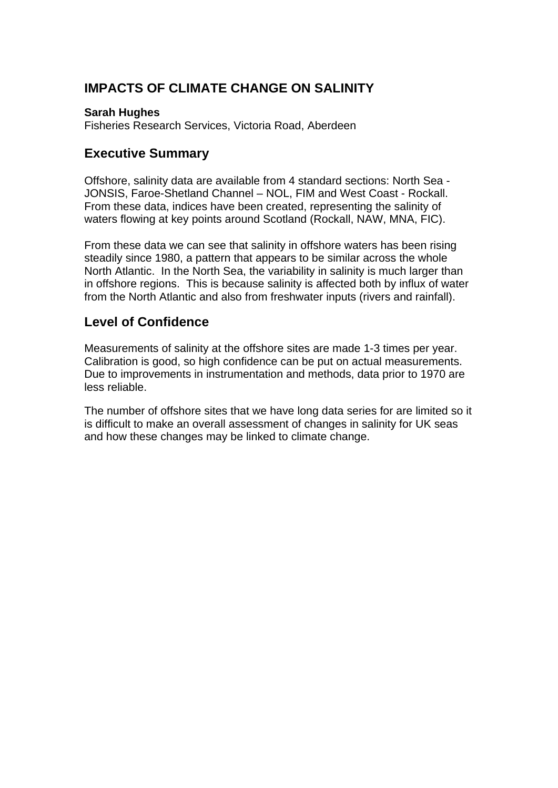# **IMPACTS OF CLIMATE CHANGE ON SALINITY**

#### **Sarah Hughes**

Fisheries Research Services, Victoria Road, Aberdeen

## **Executive Summary**

Offshore, salinity data are available from 4 standard sections: North Sea - JONSIS, Faroe-Shetland Channel – NOL, FIM and West Coast - Rockall. From these data, indices have been created, representing the salinity of waters flowing at key points around Scotland (Rockall, NAW, MNA, FIC).

From these data we can see that salinity in offshore waters has been rising steadily since 1980, a pattern that appears to be similar across the whole North Atlantic. In the North Sea, the variability in salinity is much larger than in offshore regions. This is because salinity is affected both by influx of water from the North Atlantic and also from freshwater inputs (rivers and rainfall).

# **Level of Confidence**

Measurements of salinity at the offshore sites are made 1-3 times per year. Calibration is good, so high confidence can be put on actual measurements. Due to improvements in instrumentation and methods, data prior to 1970 are less reliable.

The number of offshore sites that we have long data series for are limited so it is difficult to make an overall assessment of changes in salinity for UK seas and how these changes may be linked to climate change.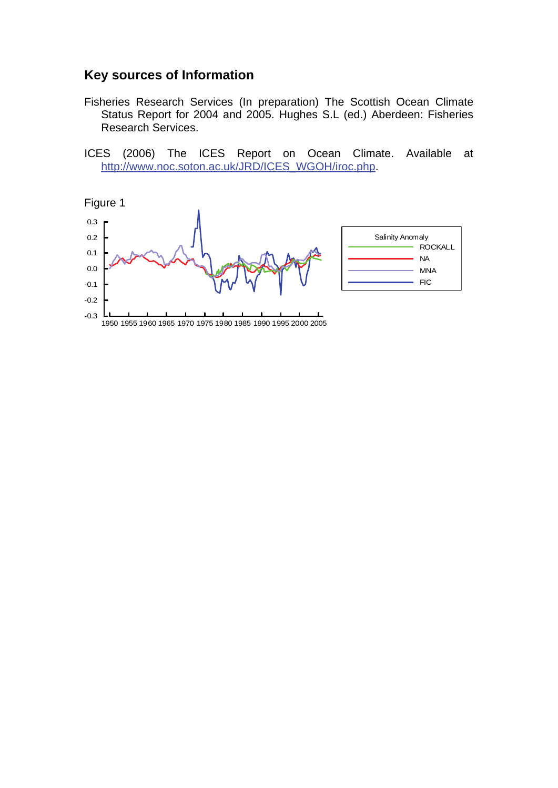### **Key sources of Information**

- Fisheries Research Services (In preparation) The Scottish Ocean Climate Status Report for 2004 and 2005. Hughes S.L (ed.) Aberdeen: Fisheries Research Services.
- ICES (2006) The ICES Report on Ocean Climate. Available at [http://www.noc.soton.ac.uk/JRD/ICES\\_WGOH/iroc.php.](http://www.noc.soton.ac.uk/JRD/ICES_WGOH/iroc.php)

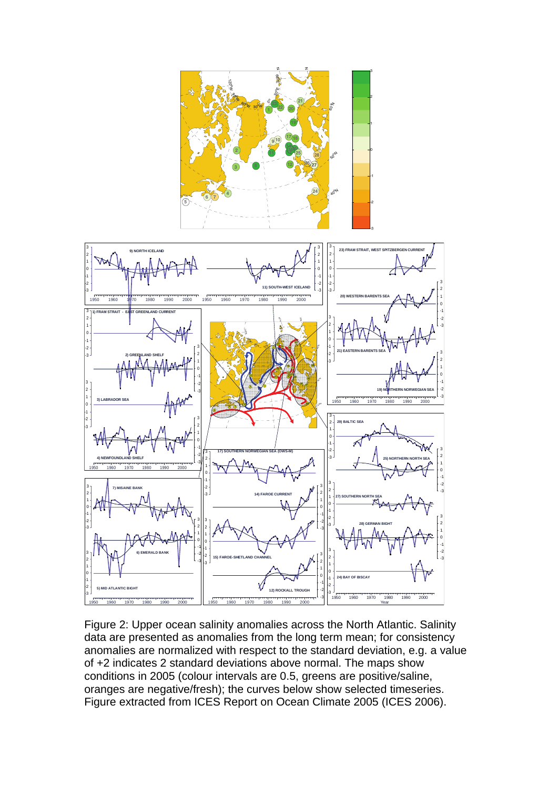

Figure 2: Upper ocean salinity anomalies across the North Atlantic. Salinity data are presented as anomalies from the long term mean; for consistency anomalies are normalized with respect to the standard deviation, e.g. a value of +2 indicates 2 standard deviations above normal. The maps show conditions in 2005 (colour intervals are 0.5, greens are positive/saline, oranges are negative/fresh); the curves below show selected timeseries. Figure extracted from ICES Report on Ocean Climate 2005 (ICES 2006).